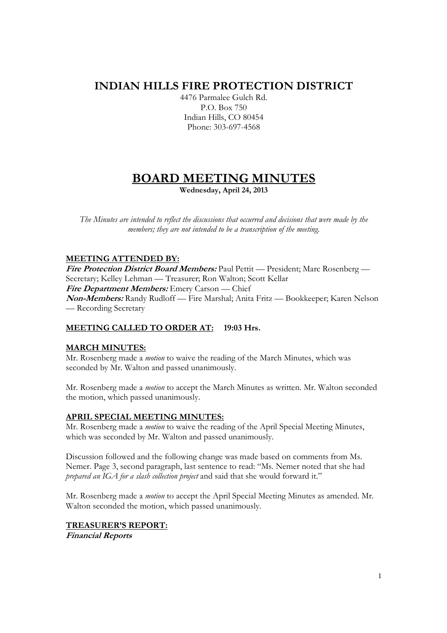## **INDIAN HILLS FIRE PROTECTION DISTRICT**

4476 Parmalee Gulch Rd. P.O. Box 750 Indian Hills, CO 80454 Phone: 303-697-4568

# **BOARD MEETING MINUTES**

**Wednesday, April 24, 2013** 

*The Minutes are intended to reflect the discussions that occurred and decisions that were made by the members; they are not intended to be a transcription of the meeting.* 

## **MEETING ATTENDED BY:**

**Fire Protection District Board Members:** Paul Pettit — President; Marc Rosenberg — Secretary; Kelley Lehman — Treasurer; Ron Walton; Scott Kellar **Fire Department Members:** Emery Carson — Chief **Non-Members:** Randy Rudloff — Fire Marshal; Anita Fritz — Bookkeeper; Karen Nelson — Recording Secretary

## **MEETING CALLED TO ORDER AT: 19:03 Hrs.**

#### **MARCH MINUTES:**

Mr. Rosenberg made a *motion* to waive the reading of the March Minutes, which was seconded by Mr. Walton and passed unanimously.

Mr. Rosenberg made a *motion* to accept the March Minutes as written. Mr. Walton seconded the motion, which passed unanimously.

#### **APRIL SPECIAL MEETING MINUTES:**

Mr. Rosenberg made a *motion* to waive the reading of the April Special Meeting Minutes, which was seconded by Mr. Walton and passed unanimously.

Discussion followed and the following change was made based on comments from Ms. Nemer. Page 3, second paragraph, last sentence to read: "Ms. Nemer noted that she had *prepared an IGA for a slash collection project* and said that she would forward it."

Mr. Rosenberg made a *motion* to accept the April Special Meeting Minutes as amended. Mr. Walton seconded the motion, which passed unanimously.

## **TREASURER'S REPORT:**

**Financial Reports**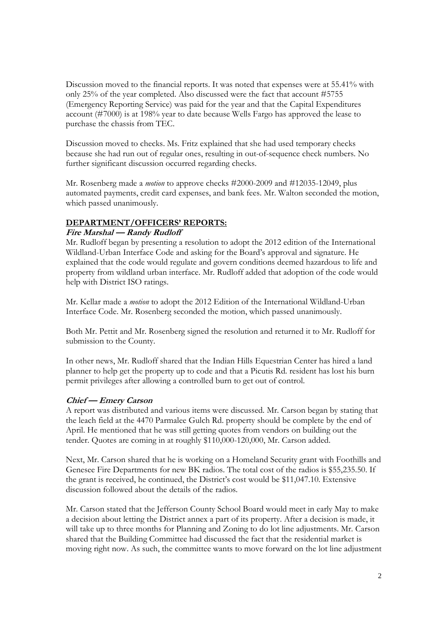Discussion moved to the financial reports. It was noted that expenses were at 55.41% with only 25% of the year completed. Also discussed were the fact that account #5755 (Emergency Reporting Service) was paid for the year and that the Capital Expenditures account (#7000) is at 198% year to date because Wells Fargo has approved the lease to purchase the chassis from TEC.

Discussion moved to checks. Ms. Fritz explained that she had used temporary checks because she had run out of regular ones, resulting in out-of-sequence check numbers. No further significant discussion occurred regarding checks.

Mr. Rosenberg made a *motion* to approve checks #2000-2009 and #12035-12049, plus automated payments, credit card expenses, and bank fees. Mr. Walton seconded the motion, which passed unanimously.

#### **DEPARTMENT/OFFICERS' REPORTS:**

#### **Fire Marshal — Randy Rudloff**

Mr. Rudloff began by presenting a resolution to adopt the 2012 edition of the International Wildland-Urban Interface Code and asking for the Board's approval and signature. He explained that the code would regulate and govern conditions deemed hazardous to life and property from wildland urban interface. Mr. Rudloff added that adoption of the code would help with District ISO ratings.

Mr. Kellar made a *motion* to adopt the 2012 Edition of the International Wildland-Urban Interface Code. Mr. Rosenberg seconded the motion, which passed unanimously.

Both Mr. Pettit and Mr. Rosenberg signed the resolution and returned it to Mr. Rudloff for submission to the County.

In other news, Mr. Rudloff shared that the Indian Hills Equestrian Center has hired a land planner to help get the property up to code and that a Picutis Rd. resident has lost his burn permit privileges after allowing a controlled burn to get out of control.

#### **Chief — Emery Carson**

A report was distributed and various items were discussed. Mr. Carson began by stating that the leach field at the 4470 Parmalee Gulch Rd. property should be complete by the end of April. He mentioned that he was still getting quotes from vendors on building out the tender. Quotes are coming in at roughly \$110,000-120,000, Mr. Carson added.

Next, Mr. Carson shared that he is working on a Homeland Security grant with Foothills and Genesee Fire Departments for new BK radios. The total cost of the radios is \$55,235.50. If the grant is received, he continued, the District's cost would be \$11,047.10. Extensive discussion followed about the details of the radios.

Mr. Carson stated that the Jefferson County School Board would meet in early May to make a decision about letting the District annex a part of its property. After a decision is made, it will take up to three months for Planning and Zoning to do lot line adjustments. Mr. Carson shared that the Building Committee had discussed the fact that the residential market is moving right now. As such, the committee wants to move forward on the lot line adjustment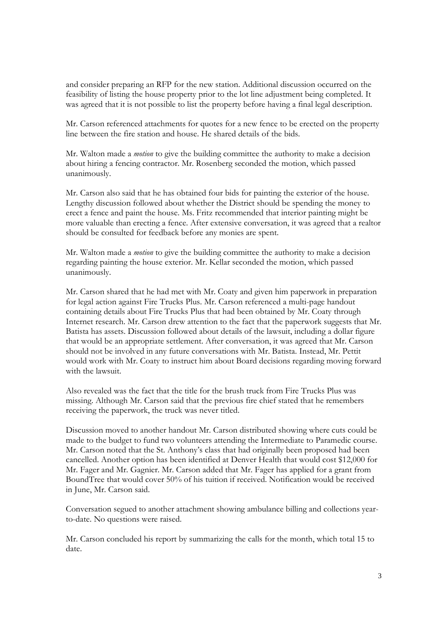and consider preparing an RFP for the new station. Additional discussion occurred on the feasibility of listing the house property prior to the lot line adjustment being completed. It was agreed that it is not possible to list the property before having a final legal description.

Mr. Carson referenced attachments for quotes for a new fence to be erected on the property line between the fire station and house. He shared details of the bids.

Mr. Walton made a *motion* to give the building committee the authority to make a decision about hiring a fencing contractor. Mr. Rosenberg seconded the motion, which passed unanimously.

Mr. Carson also said that he has obtained four bids for painting the exterior of the house. Lengthy discussion followed about whether the District should be spending the money to erect a fence and paint the house. Ms. Fritz recommended that interior painting might be more valuable than erecting a fence. After extensive conversation, it was agreed that a realtor should be consulted for feedback before any monies are spent.

Mr. Walton made a *motion* to give the building committee the authority to make a decision regarding painting the house exterior. Mr. Kellar seconded the motion, which passed unanimously.

Mr. Carson shared that he had met with Mr. Coaty and given him paperwork in preparation for legal action against Fire Trucks Plus. Mr. Carson referenced a multi-page handout containing details about Fire Trucks Plus that had been obtained by Mr. Coaty through Internet research. Mr. Carson drew attention to the fact that the paperwork suggests that Mr. Batista has assets. Discussion followed about details of the lawsuit, including a dollar figure that would be an appropriate settlement. After conversation, it was agreed that Mr. Carson should not be involved in any future conversations with Mr. Batista. Instead, Mr. Pettit would work with Mr. Coaty to instruct him about Board decisions regarding moving forward with the lawsuit.

Also revealed was the fact that the title for the brush truck from Fire Trucks Plus was missing. Although Mr. Carson said that the previous fire chief stated that he remembers receiving the paperwork, the truck was never titled.

Discussion moved to another handout Mr. Carson distributed showing where cuts could be made to the budget to fund two volunteers attending the Intermediate to Paramedic course. Mr. Carson noted that the St. Anthony's class that had originally been proposed had been cancelled. Another option has been identified at Denver Health that would cost \$12,000 for Mr. Fager and Mr. Gagnier. Mr. Carson added that Mr. Fager has applied for a grant from BoundTree that would cover 50% of his tuition if received. Notification would be received in June, Mr. Carson said.

Conversation segued to another attachment showing ambulance billing and collections yearto-date. No questions were raised.

Mr. Carson concluded his report by summarizing the calls for the month, which total 15 to date.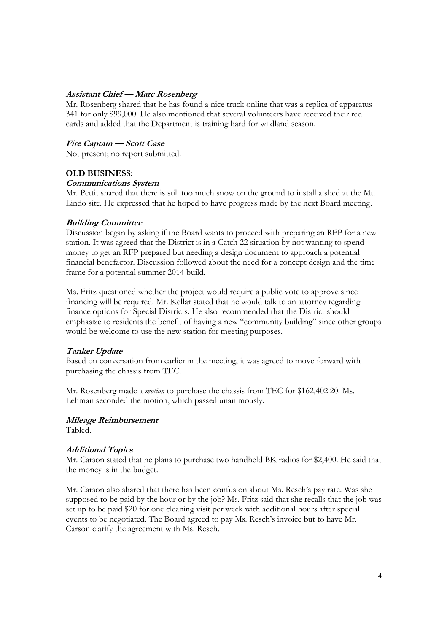#### **Assistant Chief — Marc Rosenberg**

Mr. Rosenberg shared that he has found a nice truck online that was a replica of apparatus 341 for only \$99,000. He also mentioned that several volunteers have received their red cards and added that the Department is training hard for wildland season.

#### **Fire Captain — Scott Case**

Not present; no report submitted.

#### **OLD BUSINESS:**

#### **Communications System**

Mr. Pettit shared that there is still too much snow on the ground to install a shed at the Mt. Lindo site. He expressed that he hoped to have progress made by the next Board meeting.

#### **Building Committee**

Discussion began by asking if the Board wants to proceed with preparing an RFP for a new station. It was agreed that the District is in a Catch 22 situation by not wanting to spend money to get an RFP prepared but needing a design document to approach a potential financial benefactor. Discussion followed about the need for a concept design and the time frame for a potential summer 2014 build.

Ms. Fritz questioned whether the project would require a public vote to approve since financing will be required. Mr. Kellar stated that he would talk to an attorney regarding finance options for Special Districts. He also recommended that the District should emphasize to residents the benefit of having a new "community building" since other groups would be welcome to use the new station for meeting purposes.

#### **Tanker Update**

Based on conversation from earlier in the meeting, it was agreed to move forward with purchasing the chassis from TEC.

Mr. Rosenberg made a *motion* to purchase the chassis from TEC for \$162,402.20. Ms. Lehman seconded the motion, which passed unanimously.

#### **Mileage Reimbursement**

Tabled.

#### **Additional Topics**

Mr. Carson stated that he plans to purchase two handheld BK radios for \$2,400. He said that the money is in the budget.

Mr. Carson also shared that there has been confusion about Ms. Resch's pay rate. Was she supposed to be paid by the hour or by the job? Ms. Fritz said that she recalls that the job was set up to be paid \$20 for one cleaning visit per week with additional hours after special events to be negotiated. The Board agreed to pay Ms. Resch's invoice but to have Mr. Carson clarify the agreement with Ms. Resch.